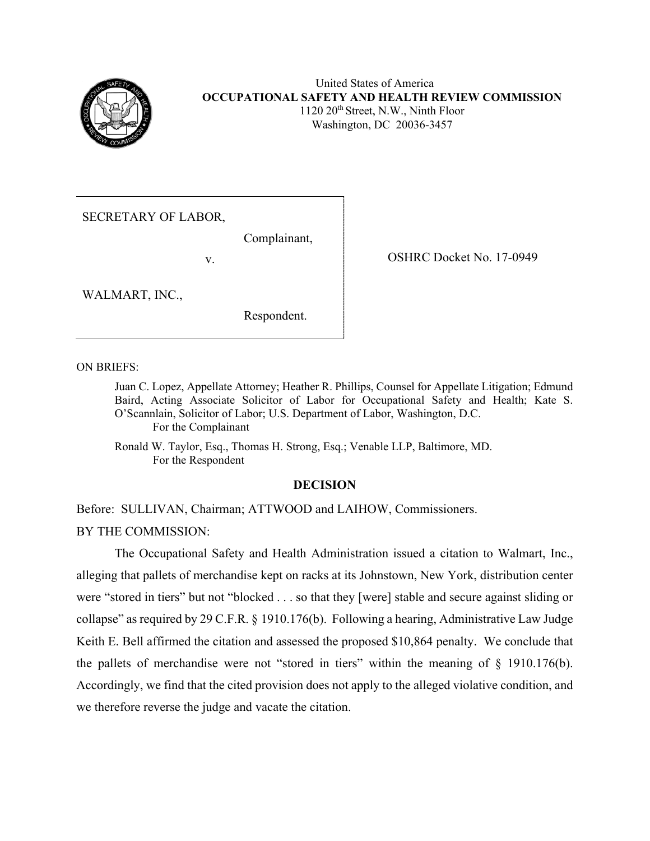

SECRETARY OF LABOR,

Complainant,

v.

OSHRC Docket No. 17-0949

WALMART, INC.,

Respondent.

ON BRIEFS:

Juan C. Lopez, Appellate Attorney; Heather R. Phillips, Counsel for Appellate Litigation; Edmund Baird, Acting Associate Solicitor of Labor for Occupational Safety and Health; Kate S. O'Scannlain, Solicitor of Labor; U.S. Department of Labor, Washington, D.C. For the Complainant

Ronald W. Taylor, Esq., Thomas H. Strong, Esq.; Venable LLP, Baltimore, MD. For the Respondent

# **DECISION**

Before: SULLIVAN, Chairman; ATTWOOD and LAIHOW, Commissioners. BY THE COMMISSION:

The Occupational Safety and Health Administration issued a citation to Walmart, Inc., alleging that pallets of merchandise kept on racks at its Johnstown, New York, distribution center were "stored in tiers" but not "blocked . . . so that they [were] stable and secure against sliding or collapse" as required by 29 C.F.R. § 1910.176(b). Following a hearing, Administrative Law Judge Keith E. Bell affirmed the citation and assessed the proposed \$10,864 penalty. We conclude that the pallets of merchandise were not "stored in tiers" within the meaning of § 1910.176(b). Accordingly, we find that the cited provision does not apply to the alleged violative condition, and we therefore reverse the judge and vacate the citation.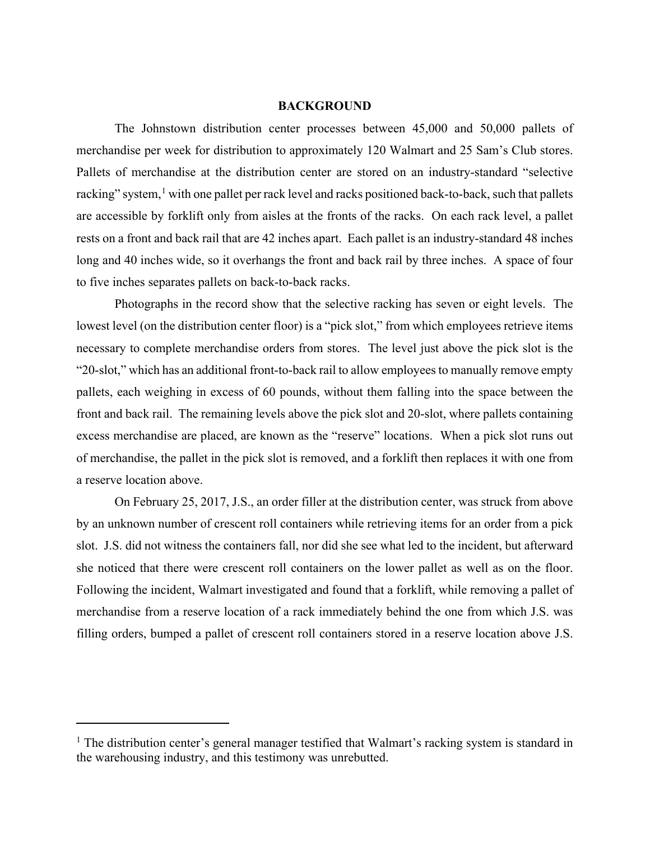## **BACKGROUND**

The Johnstown distribution center processes between 45,000 and 50,000 pallets of merchandise per week for distribution to approximately 120 Walmart and 25 Sam's Club stores. Pallets of merchandise at the distribution center are stored on an industry-standard "selective racking" system, $<sup>1</sup>$  $<sup>1</sup>$  $<sup>1</sup>$  with one pallet per rack level and racks positioned back-to-back, such that pallets</sup> are accessible by forklift only from aisles at the fronts of the racks. On each rack level, a pallet rests on a front and back rail that are 42 inches apart. Each pallet is an industry-standard 48 inches long and 40 inches wide, so it overhangs the front and back rail by three inches. A space of four to five inches separates pallets on back-to-back racks.

Photographs in the record show that the selective racking has seven or eight levels. The lowest level (on the distribution center floor) is a "pick slot," from which employees retrieve items necessary to complete merchandise orders from stores. The level just above the pick slot is the "20-slot," which has an additional front-to-back rail to allow employees to manually remove empty pallets, each weighing in excess of 60 pounds, without them falling into the space between the front and back rail. The remaining levels above the pick slot and 20-slot, where pallets containing excess merchandise are placed, are known as the "reserve" locations. When a pick slot runs out of merchandise, the pallet in the pick slot is removed, and a forklift then replaces it with one from a reserve location above.

On February 25, 2017, J.S., an order filler at the distribution center, was struck from above by an unknown number of crescent roll containers while retrieving items for an order from a pick slot. J.S. did not witness the containers fall, nor did she see what led to the incident, but afterward she noticed that there were crescent roll containers on the lower pallet as well as on the floor. Following the incident, Walmart investigated and found that a forklift, while removing a pallet of merchandise from a reserve location of a rack immediately behind the one from which J.S. was filling orders, bumped a pallet of crescent roll containers stored in a reserve location above J.S.

<span id="page-1-0"></span> $<sup>1</sup>$  The distribution center's general manager testified that Walmart's racking system is standard in</sup> the warehousing industry, and this testimony was unrebutted.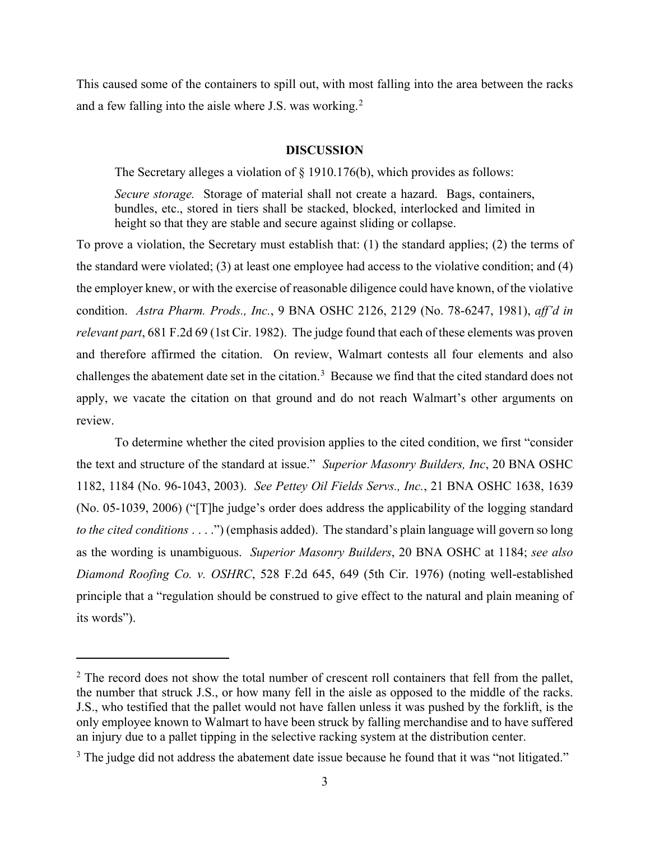This caused some of the containers to spill out, with most falling into the area between the racks and a few falling into the aisle where J.S. was working.<sup>[2](#page-2-0)</sup>

### **DISCUSSION**

The Secretary alleges a violation of § 1910.176(b), which provides as follows:

*Secure storage.* Storage of material shall not create a hazard. Bags, containers, bundles, etc., stored in tiers shall be stacked, blocked, interlocked and limited in height so that they are stable and secure against sliding or collapse.

To prove a violation, the Secretary must establish that: (1) the standard applies; (2) the terms of the standard were violated; (3) at least one employee had access to the violative condition; and (4) the employer knew, or with the exercise of reasonable diligence could have known, of the violative condition. *Astra Pharm. Prods., Inc.*, 9 BNA OSHC 2126, 2129 (No. 78-6247, 1981), *aff'd in relevant part*, 681 F.2d 69 (1st Cir. 1982). The judge found that each of these elements was proven and therefore affirmed the citation. On review, Walmart contests all four elements and also challenges the abatement date set in the citation.<sup>[3](#page-2-1)</sup> Because we find that the cited standard does not apply, we vacate the citation on that ground and do not reach Walmart's other arguments on review.

To determine whether the cited provision applies to the cited condition, we first "consider the text and structure of the standard at issue." *Superior Masonry Builders, Inc*, 20 BNA OSHC 1182, 1184 (No. 96-1043, 2003). *See Pettey Oil Fields Servs., Inc.*, 21 BNA OSHC 1638, 1639 (No. 05-1039, 2006) ("[T]he judge's order does address the applicability of the logging standard *to the cited conditions* . . . .") (emphasis added). The standard's plain language will govern so long as the wording is unambiguous. *Superior Masonry Builders*, 20 BNA OSHC at 1184; *see also Diamond Roofing Co. v. OSHRC*, 528 F.2d 645, 649 (5th Cir. 1976) (noting well-established principle that a "regulation should be construed to give effect to the natural and plain meaning of its words").

<span id="page-2-0"></span> $2$  The record does not show the total number of crescent roll containers that fell from the pallet, the number that struck J.S., or how many fell in the aisle as opposed to the middle of the racks. J.S., who testified that the pallet would not have fallen unless it was pushed by the forklift, is the only employee known to Walmart to have been struck by falling merchandise and to have suffered an injury due to a pallet tipping in the selective racking system at the distribution center.

<span id="page-2-1"></span> $3$  The judge did not address the abatement date issue because he found that it was "not litigated."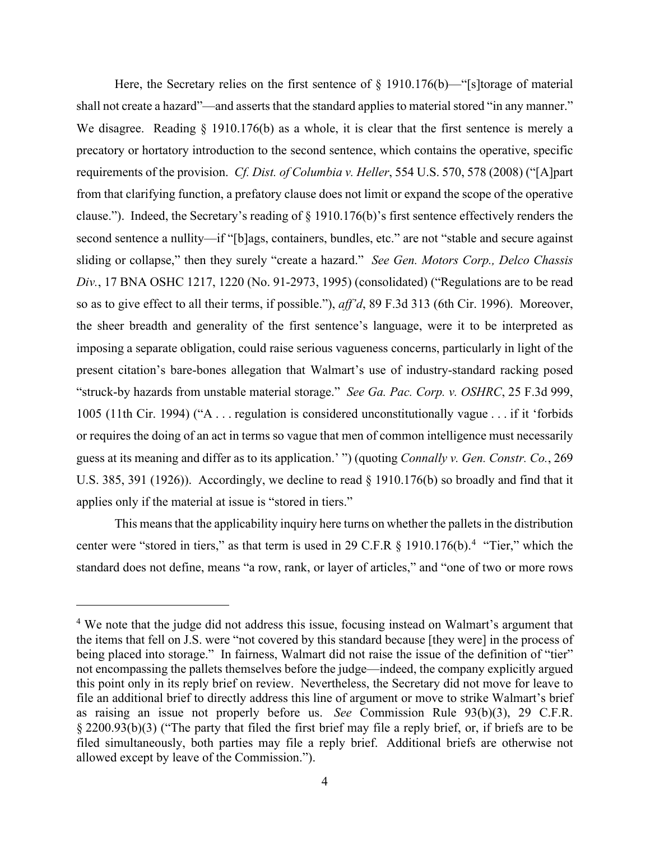Here, the Secretary relies on the first sentence of  $\S$  1910.176(b)—"[s]torage of material shall not create a hazard"—and asserts that the standard applies to material stored "in any manner." We disagree. Reading § 1910.176(b) as a whole, it is clear that the first sentence is merely a precatory or hortatory introduction to the second sentence, which contains the operative, specific requirements of the provision. *Cf. Dist. of Columbia v. Heller*, 554 U.S. 570, 578 (2008) ("[A]part from that clarifying function, a prefatory clause does not limit or expand the scope of the operative clause."). Indeed, the Secretary's reading of § 1910.176(b)'s first sentence effectively renders the second sentence a nullity—if "[b]ags, containers, bundles, etc." are not "stable and secure against sliding or collapse," then they surely "create a hazard." *See Gen. Motors Corp., Delco Chassis Div.*, 17 BNA OSHC 1217, 1220 (No. 91-2973, 1995) (consolidated) ("Regulations are to be read so as to give effect to all their terms, if possible."), *aff'd*, 89 F.3d 313 (6th Cir. 1996). Moreover, the sheer breadth and generality of the first sentence's language, were it to be interpreted as imposing a separate obligation, could raise serious vagueness concerns, particularly in light of the present citation's bare-bones allegation that Walmart's use of industry-standard racking posed "struck-by hazards from unstable material storage." *See Ga. Pac. Corp. v. OSHRC*, 25 F.3d 999, 1005 (11th Cir. 1994) ("A . . . regulation is considered unconstitutionally vague . . . if it 'forbids or requires the doing of an act in terms so vague that men of common intelligence must necessarily guess at its meaning and differ as to its application.' ") (quoting *Connally v. Gen. Constr. Co.*, 269 U.S. 385, 391 (1926)). Accordingly, we decline to read § 1910.176(b) so broadly and find that it applies only if the material at issue is "stored in tiers."

This means that the applicability inquiry here turns on whether the pallets in the distribution center were "stored in tiers," as that term is used in 29 C.F.R  $\S$  1910.176(b).<sup>[4](#page-3-0)</sup> "Tier," which the standard does not define, means "a row, rank, or layer of articles," and "one of two or more rows

<span id="page-3-0"></span><sup>&</sup>lt;sup>4</sup> We note that the judge did not address this issue, focusing instead on Walmart's argument that the items that fell on J.S. were "not covered by this standard because [they were] in the process of being placed into storage." In fairness, Walmart did not raise the issue of the definition of "tier" not encompassing the pallets themselves before the judge—indeed, the company explicitly argued this point only in its reply brief on review. Nevertheless, the Secretary did not move for leave to file an additional brief to directly address this line of argument or move to strike Walmart's brief as raising an issue not properly before us. *See* Commission Rule 93(b)(3), 29 C.F.R. § 2200.93(b)(3) ("The party that filed the first brief may file a reply brief, or, if briefs are to be filed simultaneously, both parties may file a reply brief. Additional briefs are otherwise not allowed except by leave of the Commission.").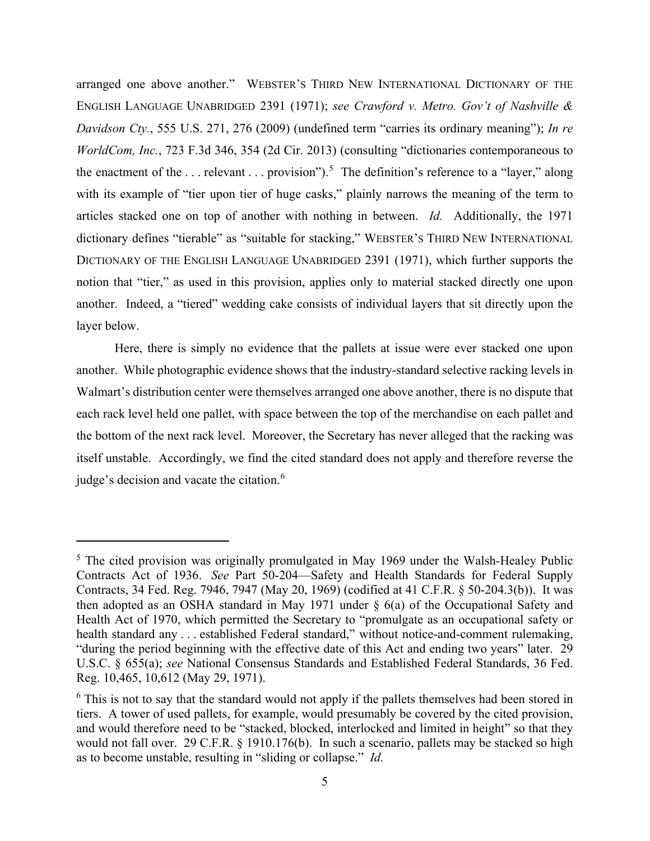arranged one above another." WEBSTER'S THIRD NEW INTERNATIONAL DICTIONARY OF THE ENGLISH LANGUAGE UNABRIDGED 2391 (1971); *see Crawford v. Metro. Gov't of Nashville & Davidson Cty.*, 555 U.S. 271, 276 (2009) (undefined term "carries its ordinary meaning"); *In re WorldCom, Inc.*, 723 F.3d 346, 354 (2d Cir. 2013) (consulting "dictionaries contemporaneous to the enactment of the ... relevant ... provision").<sup>[5](#page-4-0)</sup> The definition's reference to a "layer," along with its example of "tier upon tier of huge casks," plainly narrows the meaning of the term to articles stacked one on top of another with nothing in between. *Id.* Additionally, the 1971 dictionary defines "tierable" as "suitable for stacking," WEBSTER'S THIRD NEW INTERNATIONAL DICTIONARY OF THE ENGLISH LANGUAGE UNABRIDGED 2391 (1971), which further supports the notion that "tier," as used in this provision, applies only to material stacked directly one upon another. Indeed, a "tiered" wedding cake consists of individual layers that sit directly upon the layer below.

Here, there is simply no evidence that the pallets at issue were ever stacked one upon another. While photographic evidence shows that the industry-standard selective racking levels in Walmart's distribution center were themselves arranged one above another, there is no dispute that each rack level held one pallet, with space between the top of the merchandise on each pallet and the bottom of the next rack level. Moreover, the Secretary has never alleged that the racking was itself unstable. Accordingly, we find the cited standard does not apply and therefore reverse the judge's decision and vacate the citation.<sup>[6](#page-4-1)</sup>

<span id="page-4-0"></span><sup>&</sup>lt;sup>5</sup> The cited provision was originally promulgated in May 1969 under the Walsh-Healey Public Contracts Act of 1936. *See* Part 50-204—Safety and Health Standards for Federal Supply Contracts, 34 Fed. Reg. 7946, 7947 (May 20, 1969) (codified at 41 C.F.R. § 50-204.3(b)). It was then adopted as an OSHA standard in May 1971 under § 6(a) of the Occupational Safety and Health Act of 1970, which permitted the Secretary to "promulgate as an occupational safety or health standard any . . . established Federal standard," without notice-and-comment rulemaking, "during the period beginning with the effective date of this Act and ending two years" later. 29 U.S.C. § 655(a); *see* National Consensus Standards and Established Federal Standards, 36 Fed. Reg. 10,465, 10,612 (May 29, 1971).

<span id="page-4-1"></span> $6$  This is not to say that the standard would not apply if the pallets themselves had been stored in tiers. A tower of used pallets, for example, would presumably be covered by the cited provision, and would therefore need to be "stacked, blocked, interlocked and limited in height" so that they would not fall over. 29 C.F.R. § 1910.176(b). In such a scenario, pallets may be stacked so high as to become unstable, resulting in "sliding or collapse." *Id.*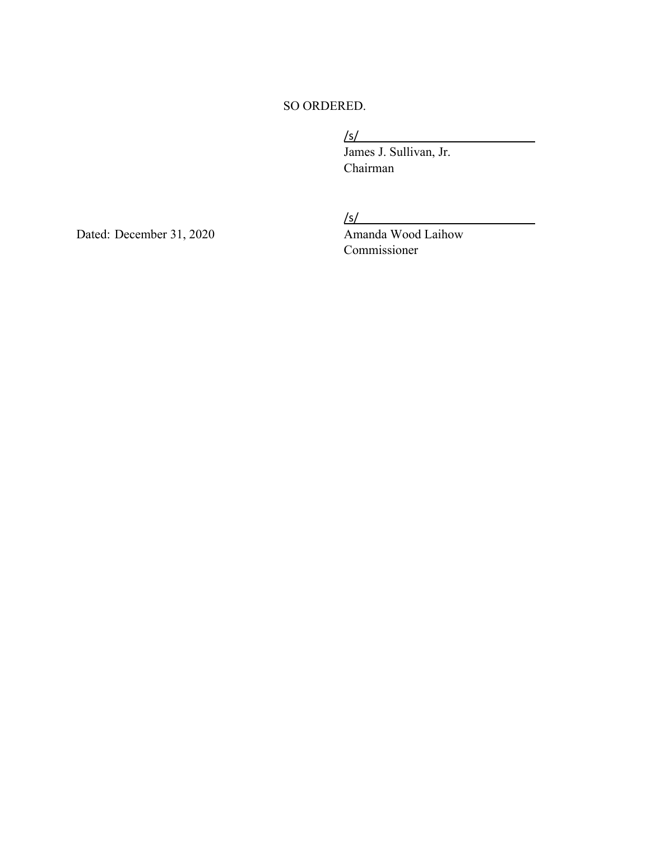# SO ORDERED.

# /s/

 James J. Sullivan, Jr. Chairman

 $\sqrt{s/2}$ 

Dated: December 31, 2020 Amanda Wood Laihow Commissioner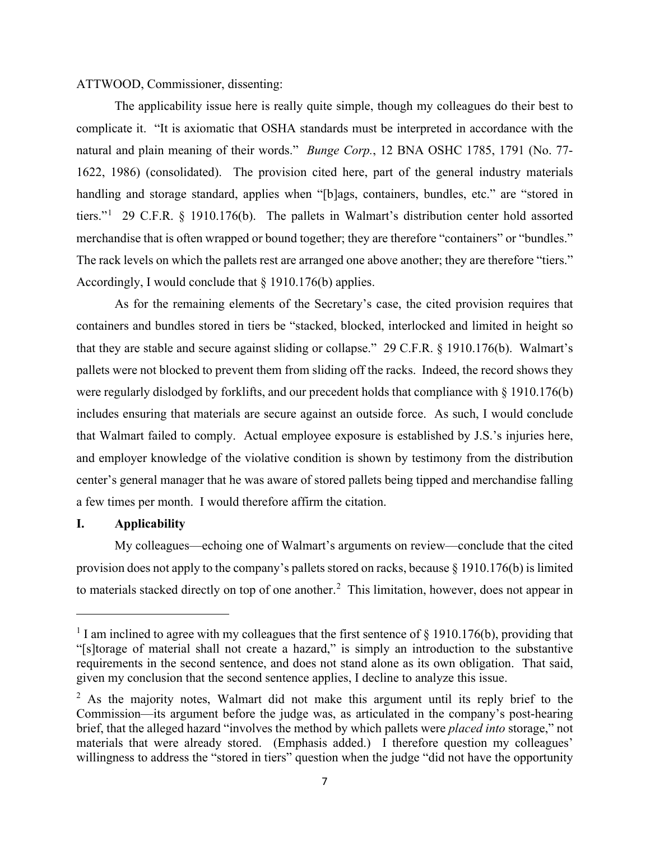# ATTWOOD, Commissioner, dissenting:

The applicability issue here is really quite simple, though my colleagues do their best to complicate it. "It is axiomatic that OSHA standards must be interpreted in accordance with the natural and plain meaning of their words." *Bunge Corp.*, 12 BNA OSHC 1785, 1791 (No. 77- 1622, 1986) (consolidated). The provision cited here, part of the general industry materials handling and storage standard, applies when "[b]ags, containers, bundles, etc." are "stored in tiers."<sup>[1](#page-6-0)</sup> 29 C.F.R. § 1910.176(b). The pallets in Walmart's distribution center hold assorted merchandise that is often wrapped or bound together; they are therefore "containers" or "bundles." The rack levels on which the pallets rest are arranged one above another; they are therefore "tiers." Accordingly, I would conclude that § 1910.176(b) applies.

As for the remaining elements of the Secretary's case, the cited provision requires that containers and bundles stored in tiers be "stacked, blocked, interlocked and limited in height so that they are stable and secure against sliding or collapse." 29 C.F.R. § 1910.176(b). Walmart's pallets were not blocked to prevent them from sliding off the racks. Indeed, the record shows they were regularly dislodged by forklifts, and our precedent holds that compliance with § 1910.176(b) includes ensuring that materials are secure against an outside force. As such, I would conclude that Walmart failed to comply. Actual employee exposure is established by J.S.'s injuries here, and employer knowledge of the violative condition is shown by testimony from the distribution center's general manager that he was aware of stored pallets being tipped and merchandise falling a few times per month. I would therefore affirm the citation.

# **I. Applicability**

My colleagues—echoing one of Walmart's arguments on review—conclude that the cited provision does not apply to the company's pallets stored on racks, because  $\S 1910.176(b)$  is limited to materials stacked directly on top of one another.<sup>[2](#page-6-1)</sup> This limitation, however, does not appear in

<span id="page-6-0"></span><sup>&</sup>lt;sup>1</sup> I am inclined to agree with my colleagues that the first sentence of  $\S$  1910.176(b), providing that "[s]torage of material shall not create a hazard," is simply an introduction to the substantive requirements in the second sentence, and does not stand alone as its own obligation. That said, given my conclusion that the second sentence applies, I decline to analyze this issue.

<span id="page-6-1"></span><sup>&</sup>lt;sup>2</sup> As the majority notes, Walmart did not make this argument until its reply brief to the Commission—its argument before the judge was, as articulated in the company's post-hearing brief, that the alleged hazard "involves the method by which pallets were *placed into* storage," not materials that were already stored. (Emphasis added.) I therefore question my colleagues' willingness to address the "stored in tiers" question when the judge "did not have the opportunity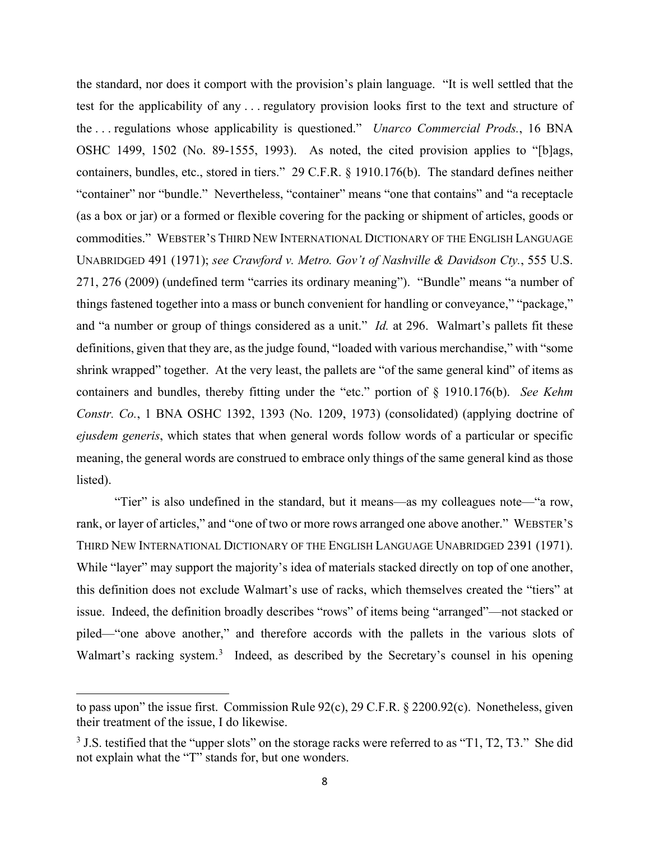the standard, nor does it comport with the provision's plain language. "It is well settled that the test for the applicability of any . . . regulatory provision looks first to the text and structure of the . . . regulations whose applicability is questioned." *Unarco Commercial Prods.*, 16 BNA OSHC 1499, 1502 (No. 89-1555, 1993). As noted, the cited provision applies to "[b]ags, containers, bundles, etc., stored in tiers." 29 C.F.R. § 1910.176(b). The standard defines neither "container" nor "bundle." Nevertheless, "container" means "one that contains" and "a receptacle (as a box or jar) or a formed or flexible covering for the packing or shipment of articles, goods or commodities." WEBSTER'S THIRD NEW INTERNATIONAL DICTIONARY OF THE ENGLISH LANGUAGE UNABRIDGED 491 (1971); *see Crawford v. Metro. Gov't of Nashville & Davidson Cty.*, 555 U.S. 271, 276 (2009) (undefined term "carries its ordinary meaning"). "Bundle" means "a number of things fastened together into a mass or bunch convenient for handling or conveyance," "package," and "a number or group of things considered as a unit." *Id.* at 296. Walmart's pallets fit these definitions, given that they are, as the judge found, "loaded with various merchandise," with "some shrink wrapped" together. At the very least, the pallets are "of the same general kind" of items as containers and bundles, thereby fitting under the "etc." portion of § 1910.176(b). *See Kehm Constr. Co.*, 1 BNA OSHC 1392, 1393 (No. 1209, 1973) (consolidated) (applying doctrine of *ejusdem generis*, which states that when general words follow words of a particular or specific meaning, the general words are construed to embrace only things of the same general kind as those listed).

"Tier" is also undefined in the standard, but it means—as my colleagues note—"a row, rank, or layer of articles," and "one of two or more rows arranged one above another." WEBSTER'S THIRD NEW INTERNATIONAL DICTIONARY OF THE ENGLISH LANGUAGE UNABRIDGED 2391 (1971). While "layer" may support the majority's idea of materials stacked directly on top of one another, this definition does not exclude Walmart's use of racks, which themselves created the "tiers" at issue. Indeed, the definition broadly describes "rows" of items being "arranged"—not stacked or piled—"one above another," and therefore accords with the pallets in the various slots of Walmart's racking system.<sup>[3](#page-7-0)</sup> Indeed, as described by the Secretary's counsel in his opening

to pass upon" the issue first. Commission Rule 92(c), 29 C.F.R. § 2200.92(c). Nonetheless, given their treatment of the issue, I do likewise.

<span id="page-7-0"></span> $3$  J.S. testified that the "upper slots" on the storage racks were referred to as "T1, T2, T3." She did not explain what the "T" stands for, but one wonders.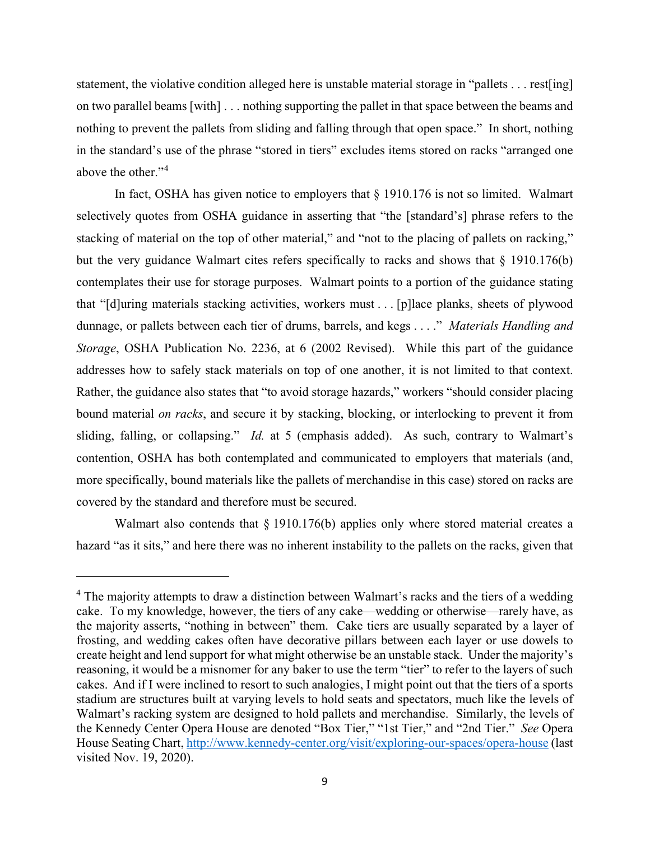statement, the violative condition alleged here is unstable material storage in "pallets . . . rest[ing] on two parallel beams [with] . . . nothing supporting the pallet in that space between the beams and nothing to prevent the pallets from sliding and falling through that open space." In short, nothing in the standard's use of the phrase "stored in tiers" excludes items stored on racks "arranged one above the other."<sup>[4](#page-8-0)</sup>

In fact, OSHA has given notice to employers that § 1910.176 is not so limited. Walmart selectively quotes from OSHA guidance in asserting that "the [standard's] phrase refers to the stacking of material on the top of other material," and "not to the placing of pallets on racking," but the very guidance Walmart cites refers specifically to racks and shows that  $\S$  1910.176(b) contemplates their use for storage purposes. Walmart points to a portion of the guidance stating that "[d]uring materials stacking activities, workers must . . . [p]lace planks, sheets of plywood dunnage, or pallets between each tier of drums, barrels, and kegs . . . ." *Materials Handling and Storage*, OSHA Publication No. 2236, at 6 (2002 Revised). While this part of the guidance addresses how to safely stack materials on top of one another, it is not limited to that context. Rather, the guidance also states that "to avoid storage hazards," workers "should consider placing bound material *on racks*, and secure it by stacking, blocking, or interlocking to prevent it from sliding, falling, or collapsing." *Id.* at 5 (emphasis added). As such, contrary to Walmart's contention, OSHA has both contemplated and communicated to employers that materials (and, more specifically, bound materials like the pallets of merchandise in this case) stored on racks are covered by the standard and therefore must be secured.

Walmart also contends that § 1910.176(b) applies only where stored material creates a hazard "as it sits," and here there was no inherent instability to the pallets on the racks, given that

<span id="page-8-0"></span><sup>&</sup>lt;sup>4</sup> The majority attempts to draw a distinction between Walmart's racks and the tiers of a wedding cake. To my knowledge, however, the tiers of any cake—wedding or otherwise—rarely have, as the majority asserts, "nothing in between" them. Cake tiers are usually separated by a layer of frosting, and wedding cakes often have decorative pillars between each layer or use dowels to create height and lend support for what might otherwise be an unstable stack. Under the majority's reasoning, it would be a misnomer for any baker to use the term "tier" to refer to the layers of such cakes. And if I were inclined to resort to such analogies, I might point out that the tiers of a sports stadium are structures built at varying levels to hold seats and spectators, much like the levels of Walmart's racking system are designed to hold pallets and merchandise. Similarly, the levels of the Kennedy Center Opera House are denoted "Box Tier," "1st Tier," and "2nd Tier." *See* Opera House Seating Chart[, http://www.kennedy-center.org/visit/exploring-our-spaces/opera-house](http://www.kennedy-center.org/visit/exploring-our-spaces/opera-house) (last visited Nov. 19, 2020).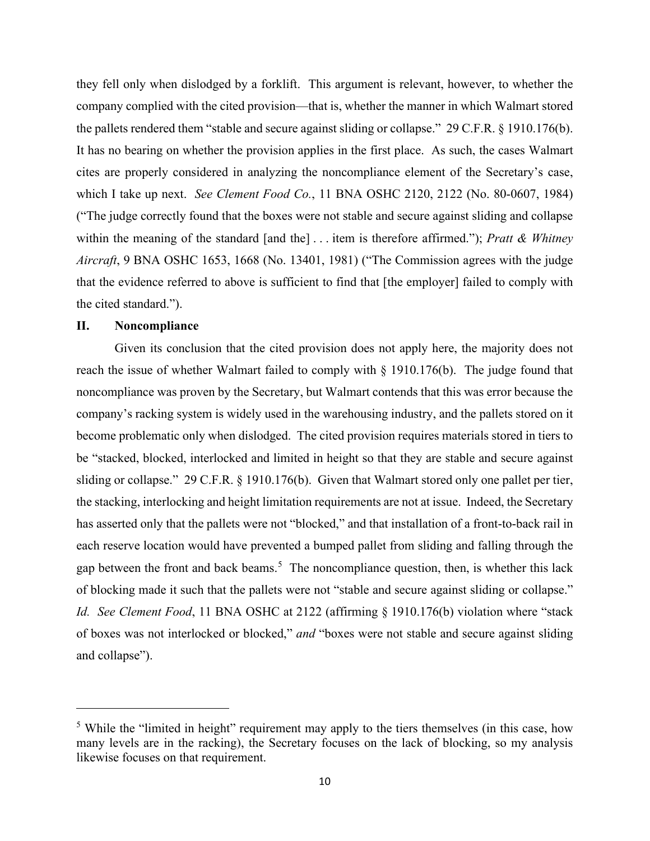they fell only when dislodged by a forklift. This argument is relevant, however, to whether the company complied with the cited provision—that is, whether the manner in which Walmart stored the pallets rendered them "stable and secure against sliding or collapse." 29 C.F.R. § 1910.176(b). It has no bearing on whether the provision applies in the first place. As such, the cases Walmart cites are properly considered in analyzing the noncompliance element of the Secretary's case, which I take up next. *See Clement Food Co.*, 11 BNA OSHC 2120, 2122 (No. 80-0607, 1984) ("The judge correctly found that the boxes were not stable and secure against sliding and collapse within the meaning of the standard [and the] . . . item is therefore affirmed."); *Pratt & Whitney Aircraft*, 9 BNA OSHC 1653, 1668 (No. 13401, 1981) ("The Commission agrees with the judge that the evidence referred to above is sufficient to find that [the employer] failed to comply with the cited standard.").

# **II. Noncompliance**

Given its conclusion that the cited provision does not apply here, the majority does not reach the issue of whether Walmart failed to comply with § 1910.176(b). The judge found that noncompliance was proven by the Secretary, but Walmart contends that this was error because the company's racking system is widely used in the warehousing industry, and the pallets stored on it become problematic only when dislodged. The cited provision requires materials stored in tiers to be "stacked, blocked, interlocked and limited in height so that they are stable and secure against sliding or collapse." 29 C.F.R. § 1910.176(b). Given that Walmart stored only one pallet per tier, the stacking, interlocking and height limitation requirements are not at issue. Indeed, the Secretary has asserted only that the pallets were not "blocked," and that installation of a front-to-back rail in each reserve location would have prevented a bumped pallet from sliding and falling through the gap between the front and back beams.<sup>[5](#page-9-0)</sup> The noncompliance question, then, is whether this lack of blocking made it such that the pallets were not "stable and secure against sliding or collapse." *Id. See Clement Food*, 11 BNA OSHC at 2122 (affirming § 1910.176(b) violation where "stack of boxes was not interlocked or blocked," *and* "boxes were not stable and secure against sliding and collapse").

<span id="page-9-0"></span><sup>&</sup>lt;sup>5</sup> While the "limited in height" requirement may apply to the tiers themselves (in this case, how many levels are in the racking), the Secretary focuses on the lack of blocking, so my analysis likewise focuses on that requirement.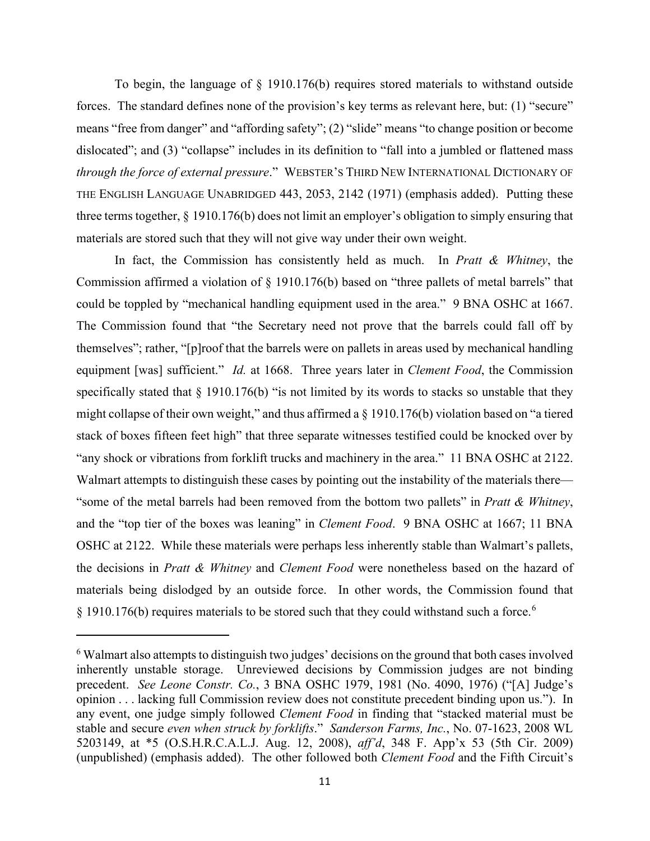To begin, the language of  $\S$  1910.176(b) requires stored materials to withstand outside forces. The standard defines none of the provision's key terms as relevant here, but: (1) "secure" means "free from danger" and "affording safety"; (2) "slide" means "to change position or become dislocated"; and (3) "collapse" includes in its definition to "fall into a jumbled or flattened mass *through the force of external pressure*." WEBSTER'S THIRD NEW INTERNATIONAL DICTIONARY OF THE ENGLISH LANGUAGE UNABRIDGED 443, 2053, 2142 (1971) (emphasis added). Putting these three terms together, § 1910.176(b) does not limit an employer's obligation to simply ensuring that materials are stored such that they will not give way under their own weight.

In fact, the Commission has consistently held as much. In *Pratt & Whitney*, the Commission affirmed a violation of § 1910.176(b) based on "three pallets of metal barrels" that could be toppled by "mechanical handling equipment used in the area." 9 BNA OSHC at 1667. The Commission found that "the Secretary need not prove that the barrels could fall off by themselves"; rather, "[p]roof that the barrels were on pallets in areas used by mechanical handling equipment [was] sufficient." *Id.* at 1668. Three years later in *Clement Food*, the Commission specifically stated that  $\S$  1910.176(b) "is not limited by its words to stacks so unstable that they might collapse of their own weight," and thus affirmed a  $\S$  1910.176(b) violation based on "a tiered stack of boxes fifteen feet high" that three separate witnesses testified could be knocked over by "any shock or vibrations from forklift trucks and machinery in the area." 11 BNA OSHC at 2122. Walmart attempts to distinguish these cases by pointing out the instability of the materials there— "some of the metal barrels had been removed from the bottom two pallets" in *Pratt & Whitney*, and the "top tier of the boxes was leaning" in *Clement Food*. 9 BNA OSHC at 1667; 11 BNA OSHC at 2122. While these materials were perhaps less inherently stable than Walmart's pallets, the decisions in *Pratt & Whitney* and *Clement Food* were nonetheless based on the hazard of materials being dislodged by an outside force. In other words, the Commission found that § 1910.17[6](#page-10-0)(b) requires materials to be stored such that they could withstand such a force.<sup>6</sup>

<span id="page-10-0"></span><sup>&</sup>lt;sup>6</sup> Walmart also attempts to distinguish two judges' decisions on the ground that both cases involved inherently unstable storage. Unreviewed decisions by Commission judges are not binding precedent. *See Leone Constr. Co.*, 3 BNA OSHC 1979, 1981 (No. 4090, 1976) ("[A] Judge's opinion . . . lacking full Commission review does not constitute precedent binding upon us."). In any event, one judge simply followed *Clement Food* in finding that "stacked material must be stable and secure *even when struck by forklifts*." *Sanderson Farms, Inc.*, No. 07-1623, 2008 WL 5203149, at \*5 (O.S.H.R.C.A.L.J. Aug. 12, 2008), *aff'd*, 348 F. App'x 53 (5th Cir. 2009) (unpublished) (emphasis added). The other followed both *Clement Food* and the Fifth Circuit's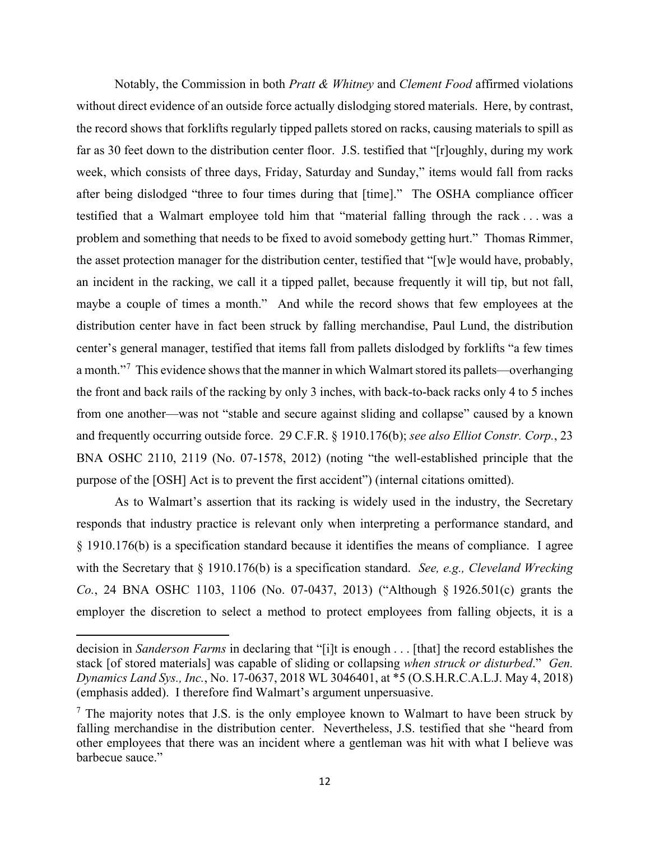Notably, the Commission in both *Pratt & Whitney* and *Clement Food* affirmed violations without direct evidence of an outside force actually dislodging stored materials. Here, by contrast, the record shows that forklifts regularly tipped pallets stored on racks, causing materials to spill as far as 30 feet down to the distribution center floor. J.S. testified that "[r]oughly, during my work week, which consists of three days, Friday, Saturday and Sunday," items would fall from racks after being dislodged "three to four times during that [time]." The OSHA compliance officer testified that a Walmart employee told him that "material falling through the rack . . . was a problem and something that needs to be fixed to avoid somebody getting hurt." Thomas Rimmer, the asset protection manager for the distribution center, testified that "[w]e would have, probably, an incident in the racking, we call it a tipped pallet, because frequently it will tip, but not fall, maybe a couple of times a month." And while the record shows that few employees at the distribution center have in fact been struck by falling merchandise, Paul Lund, the distribution center's general manager, testified that items fall from pallets dislodged by forklifts "a few times a month."<sup>[7](#page-11-0)</sup> This evidence shows that the manner in which Walmart stored its pallets—overhanging the front and back rails of the racking by only 3 inches, with back-to-back racks only 4 to 5 inches from one another—was not "stable and secure against sliding and collapse" caused by a known and frequently occurring outside force. 29 C.F.R. § 1910.176(b); *see also Elliot Constr. Corp.*, 23 BNA OSHC 2110, 2119 (No. 07-1578, 2012) (noting "the well-established principle that the purpose of the [OSH] Act is to prevent the first accident") (internal citations omitted).

As to Walmart's assertion that its racking is widely used in the industry, the Secretary responds that industry practice is relevant only when interpreting a performance standard, and § 1910.176(b) is a specification standard because it identifies the means of compliance. I agree with the Secretary that § 1910.176(b) is a specification standard. *See, e.g., Cleveland Wrecking Co.*, 24 BNA OSHC 1103, 1106 (No. 07-0437, 2013) ("Although § 1926.501(c) grants the employer the discretion to select a method to protect employees from falling objects, it is a

decision in *Sanderson Farms* in declaring that "[i]t is enough . . . [that] the record establishes the stack [of stored materials] was capable of sliding or collapsing *when struck or disturbed*." *Gen. Dynamics Land Sys., Inc.*, No. 17-0637, 2018 WL 3046401, at \*5 (O.S.H.R.C.A.L.J. May 4, 2018) (emphasis added). I therefore find Walmart's argument unpersuasive.

<span id="page-11-0"></span> $<sup>7</sup>$  The majority notes that J.S. is the only employee known to Walmart to have been struck by</sup> falling merchandise in the distribution center. Nevertheless, J.S. testified that she "heard from other employees that there was an incident where a gentleman was hit with what I believe was barbecue sauce."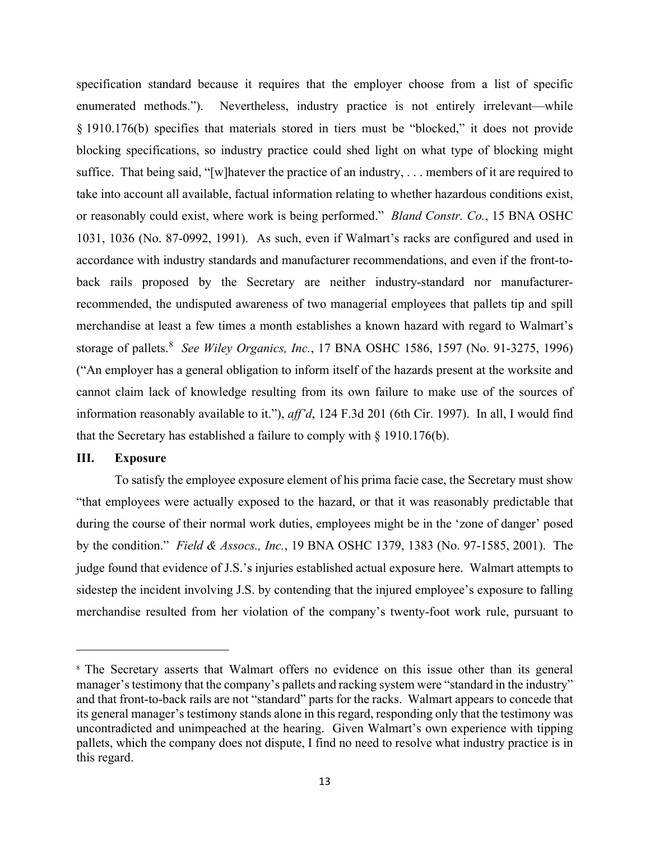specification standard because it requires that the employer choose from a list of specific enumerated methods."). Nevertheless, industry practice is not entirely irrelevant—while § 1910.176(b) specifies that materials stored in tiers must be "blocked," it does not provide blocking specifications, so industry practice could shed light on what type of blocking might suffice. That being said, "[w]hatever the practice of an industry, . . . members of it are required to take into account all available, factual information relating to whether hazardous conditions exist, or reasonably could exist, where work is being performed." *Bland Constr. Co.*, 15 BNA OSHC 1031, 1036 (No. 87-0992, 1991). As such, even if Walmart's racks are configured and used in accordance with industry standards and manufacturer recommendations, and even if the front-toback rails proposed by the Secretary are neither industry-standard nor manufacturerrecommended, the undisputed awareness of two managerial employees that pallets tip and spill merchandise at least a few times a month establishes a known hazard with regard to Walmart's storage of pallets.[8](#page-12-0) *See Wiley Organics, Inc.*, 17 BNA OSHC 1586, 1597 (No. 91-3275, 1996) ("An employer has a general obligation to inform itself of the hazards present at the worksite and cannot claim lack of knowledge resulting from its own failure to make use of the sources of information reasonably available to it."), *aff'd*, 124 F.3d 201 (6th Cir. 1997). In all, I would find that the Secretary has established a failure to comply with § 1910.176(b).

# **III. Exposure**

To satisfy the employee exposure element of his prima facie case, the Secretary must show "that employees were actually exposed to the hazard, or that it was reasonably predictable that during the course of their normal work duties, employees might be in the 'zone of danger' posed by the condition." *Field & Assocs., Inc.*, 19 BNA OSHC 1379, 1383 (No. 97-1585, 2001). The judge found that evidence of J.S.'s injuries established actual exposure here. Walmart attempts to sidestep the incident involving J.S. by contending that the injured employee's exposure to falling merchandise resulted from her violation of the company's twenty-foot work rule, pursuant to

<span id="page-12-0"></span><sup>8</sup> The Secretary asserts that Walmart offers no evidence on this issue other than its general manager's testimony that the company's pallets and racking system were "standard in the industry" and that front-to-back rails are not "standard" parts for the racks. Walmart appears to concede that its general manager's testimony stands alone in this regard, responding only that the testimony was uncontradicted and unimpeached at the hearing. Given Walmart's own experience with tipping pallets, which the company does not dispute, I find no need to resolve what industry practice is in this regard.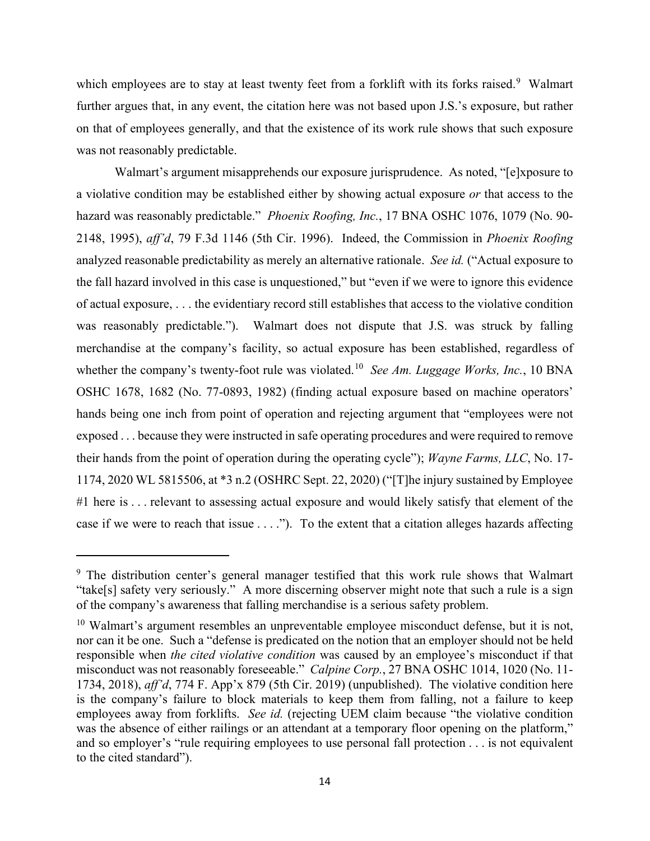which employees are to stay at least twenty feet from a forklift with its forks raised.<sup>[9](#page-13-0)</sup> Walmart further argues that, in any event, the citation here was not based upon J.S.'s exposure, but rather on that of employees generally, and that the existence of its work rule shows that such exposure was not reasonably predictable.

Walmart's argument misapprehends our exposure jurisprudence. As noted, "[e]xposure to a violative condition may be established either by showing actual exposure *or* that access to the hazard was reasonably predictable." *Phoenix Roofing, Inc.*, 17 BNA OSHC 1076, 1079 (No. 90- 2148, 1995), *aff'd*, 79 F.3d 1146 (5th Cir. 1996). Indeed, the Commission in *Phoenix Roofing* analyzed reasonable predictability as merely an alternative rationale. *See id.* ("Actual exposure to the fall hazard involved in this case is unquestioned," but "even if we were to ignore this evidence of actual exposure, . . . the evidentiary record still establishes that access to the violative condition was reasonably predictable."). Walmart does not dispute that J.S. was struck by falling merchandise at the company's facility, so actual exposure has been established, regardless of whether the company's twenty-foot rule was violated.<sup>[10](#page-13-1)</sup> *See Am. Luggage Works, Inc.*, 10 BNA OSHC 1678, 1682 (No. 77-0893, 1982) (finding actual exposure based on machine operators' hands being one inch from point of operation and rejecting argument that "employees were not exposed . . . because they were instructed in safe operating procedures and were required to remove their hands from the point of operation during the operating cycle"); *Wayne Farms, LLC*, No. 17- 1174, 2020 WL 5815506, at \*3 n.2 (OSHRC Sept. 22, 2020) ("[T]he injury sustained by Employee #1 here is . . . relevant to assessing actual exposure and would likely satisfy that element of the case if we were to reach that issue . . . ."). To the extent that a citation alleges hazards affecting

<span id="page-13-0"></span><sup>&</sup>lt;sup>9</sup> The distribution center's general manager testified that this work rule shows that Walmart "take[s] safety very seriously." A more discerning observer might note that such a rule is a sign of the company's awareness that falling merchandise is a serious safety problem.

<span id="page-13-1"></span> $10$  Walmart's argument resembles an unpreventable employee misconduct defense, but it is not, nor can it be one. Such a "defense is predicated on the notion that an employer should not be held responsible when *the cited violative condition* was caused by an employee's misconduct if that misconduct was not reasonably foreseeable." *Calpine Corp.*, 27 BNA OSHC 1014, 1020 (No. 11- 1734, 2018), *aff'd*, 774 F. App'x 879 (5th Cir. 2019) (unpublished). The violative condition here is the company's failure to block materials to keep them from falling, not a failure to keep employees away from forklifts. *See id.* (rejecting UEM claim because "the violative condition was the absence of either railings or an attendant at a temporary floor opening on the platform," and so employer's "rule requiring employees to use personal fall protection . . . is not equivalent to the cited standard").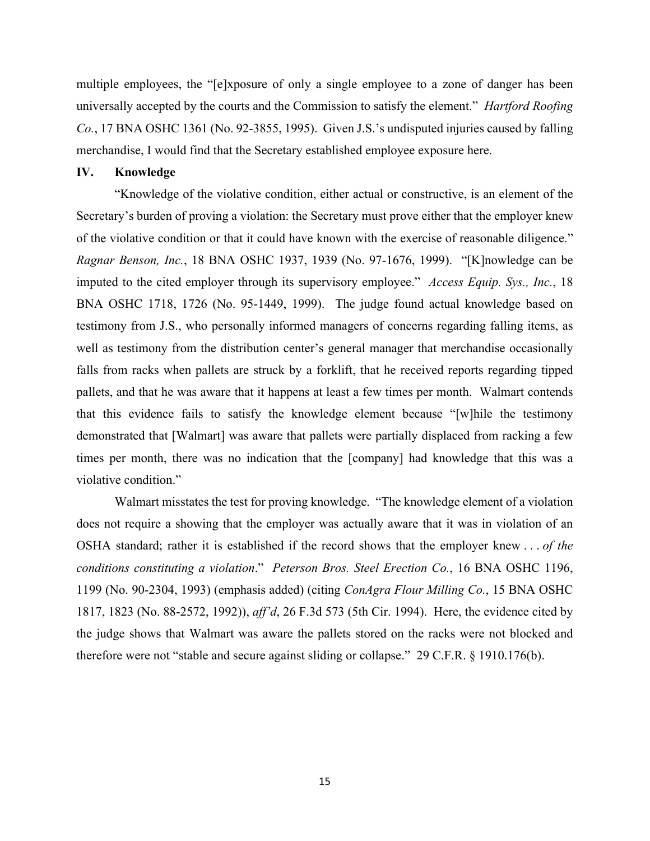multiple employees, the "[e]xposure of only a single employee to a zone of danger has been universally accepted by the courts and the Commission to satisfy the element." *Hartford Roofing Co.*, 17 BNA OSHC 1361 (No. 92-3855, 1995). Given J.S.'s undisputed injuries caused by falling merchandise, I would find that the Secretary established employee exposure here.

# **IV. Knowledge**

"Knowledge of the violative condition, either actual or constructive, is an element of the Secretary's burden of proving a violation: the Secretary must prove either that the employer knew of the violative condition or that it could have known with the exercise of reasonable diligence." *Ragnar Benson, Inc.*, 18 BNA OSHC 1937, 1939 (No. 97-1676, 1999). "[K]nowledge can be imputed to the cited employer through its supervisory employee." *Access Equip. Sys., Inc.*, 18 BNA OSHC 1718, 1726 (No. 95-1449, 1999). The judge found actual knowledge based on testimony from J.S., who personally informed managers of concerns regarding falling items, as well as testimony from the distribution center's general manager that merchandise occasionally falls from racks when pallets are struck by a forklift, that he received reports regarding tipped pallets, and that he was aware that it happens at least a few times per month. Walmart contends that this evidence fails to satisfy the knowledge element because "[w]hile the testimony demonstrated that [Walmart] was aware that pallets were partially displaced from racking a few times per month, there was no indication that the [company] had knowledge that this was a violative condition."

Walmart misstates the test for proving knowledge. "The knowledge element of a violation does not require a showing that the employer was actually aware that it was in violation of an OSHA standard; rather it is established if the record shows that the employer knew . . . *of the conditions constituting a violation*." *Peterson Bros. Steel Erection Co.*, 16 BNA OSHC 1196, 1199 (No. 90-2304, 1993) (emphasis added) (citing *ConAgra Flour Milling Co.*, 15 BNA OSHC 1817, 1823 (No. 88-2572, 1992)), *aff'd*, 26 F.3d 573 (5th Cir. 1994). Here, the evidence cited by the judge shows that Walmart was aware the pallets stored on the racks were not blocked and therefore were not "stable and secure against sliding or collapse." 29 C.F.R. § 1910.176(b).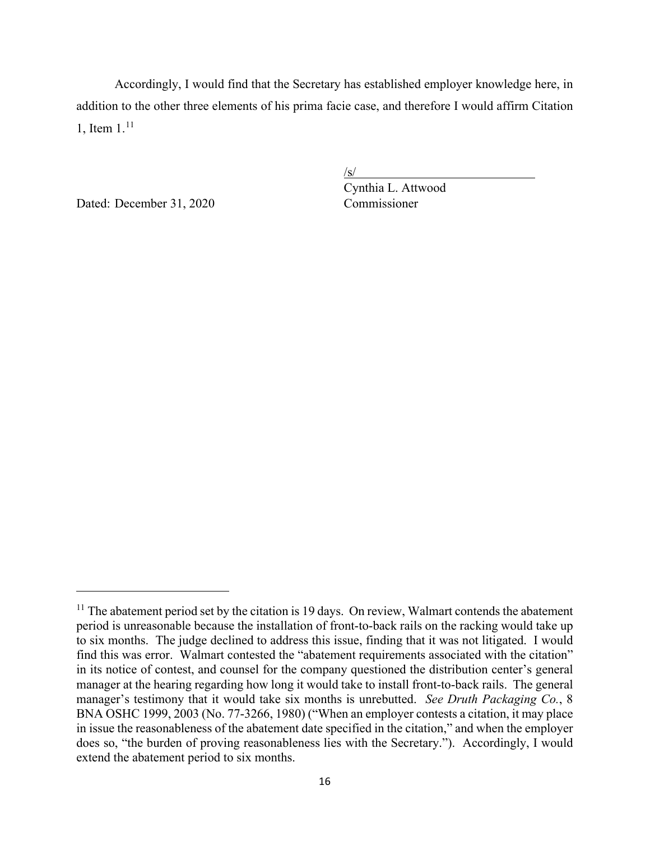Accordingly, I would find that the Secretary has established employer knowledge here, in addition to the other three elements of his prima facie case, and therefore I would affirm Citation 1, Item  $1^{11}$  $1^{11}$  $1^{11}$ 

Dated: December 31, 2020 Commissioner

 $\sqrt{s/2}$ 

Cynthia L. Attwood

<span id="page-15-0"></span><sup>&</sup>lt;sup>11</sup> The abatement period set by the citation is 19 days. On review, Walmart contends the abatement period is unreasonable because the installation of front-to-back rails on the racking would take up to six months. The judge declined to address this issue, finding that it was not litigated. I would find this was error. Walmart contested the "abatement requirements associated with the citation" in its notice of contest, and counsel for the company questioned the distribution center's general manager at the hearing regarding how long it would take to install front-to-back rails. The general manager's testimony that it would take six months is unrebutted. *See Druth Packaging Co.*, 8 BNA OSHC 1999, 2003 (No. 77-3266, 1980) ("When an employer contests a citation, it may place in issue the reasonableness of the abatement date specified in the citation," and when the employer does so, "the burden of proving reasonableness lies with the Secretary."). Accordingly, I would extend the abatement period to six months.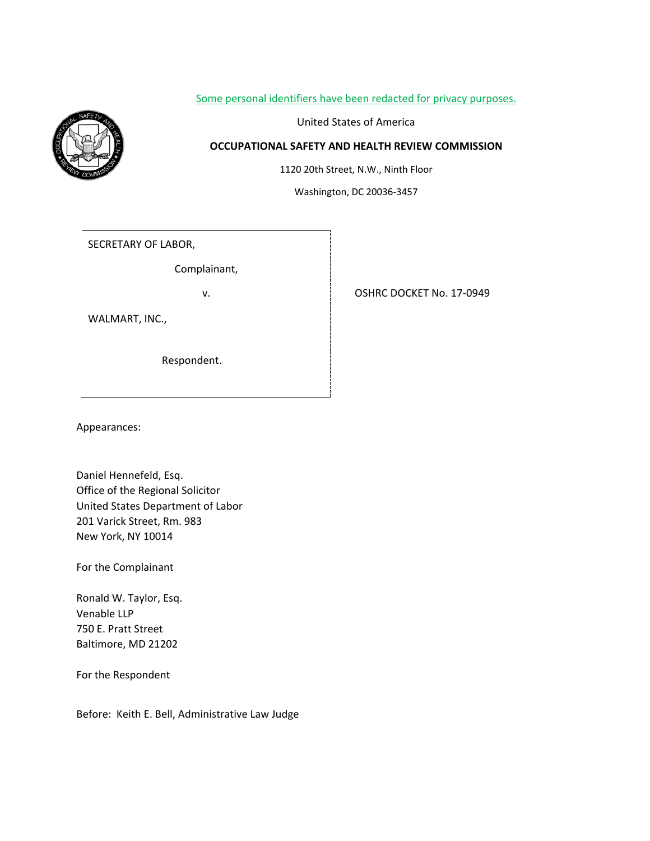## Some personal identifiers have been redacted for privacy purposes.



United States of America

# **OCCUPATIONAL SAFETY AND HEALTH REVIEW COMMISSION**

1120 20th Street, N.W., Ninth Floor

Washington, DC 20036-3457

SECRETARY OF LABOR,

Complainant,

WALMART, INC.,

Respondent.

v. **17-0949** 

Appearances:

Daniel Hennefeld, Esq. Office of the Regional Solicitor United States Department of Labor 201 Varick Street, Rm. 983 New York, NY 10014

For the Complainant

Ronald W. Taylor, Esq. Venable LLP 750 E. Pratt Street Baltimore, MD 21202

For the Respondent

Before: Keith E. Bell, Administrative Law Judge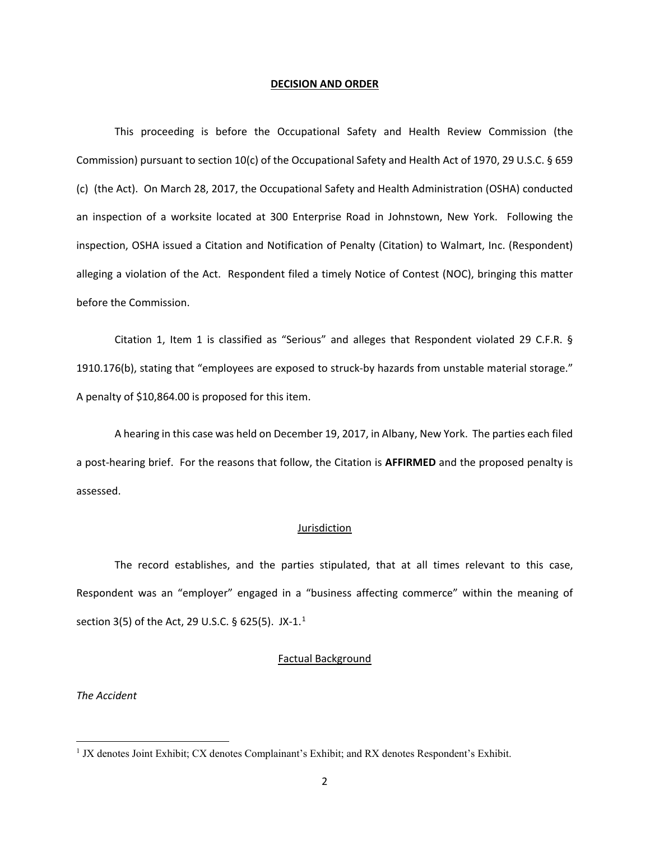#### **DECISION AND ORDER**

This proceeding is before the Occupational Safety and Health Review Commission (the Commission) pursuant to section 10(c) of the Occupational Safety and Health Act of 1970, 29 U.S.C. § 659 (c) (the Act). On March 28, 2017, the Occupational Safety and Health Administration (OSHA) conducted an inspection of a worksite located at 300 Enterprise Road in Johnstown, New York. Following the inspection, OSHA issued a Citation and Notification of Penalty (Citation) to Walmart, Inc. (Respondent) alleging a violation of the Act. Respondent filed a timely Notice of Contest (NOC), bringing this matter before the Commission.

Citation 1, Item 1 is classified as "Serious" and alleges that Respondent violated 29 C.F.R. § 1910.176(b), stating that "employees are exposed to struck-by hazards from unstable material storage." A penalty of \$10,864.00 is proposed for this item.

A hearing in this case was held on December 19, 2017, in Albany, New York. The parties each filed a post-hearing brief. For the reasons that follow, the Citation is **AFFIRMED** and the proposed penalty is assessed.

### Jurisdiction

The record establishes, and the parties stipulated, that at all times relevant to this case, Respondent was an "employer" engaged in a "business affecting commerce" within the meaning of section 3(5) of the Act, 29 U.S.C. § 625(5). JX-[1](#page-17-0).<sup>1</sup>

### Factual Background

*The Accident*

<span id="page-17-0"></span><sup>&</sup>lt;sup>1</sup> JX denotes Joint Exhibit; CX denotes Complainant's Exhibit; and RX denotes Respondent's Exhibit.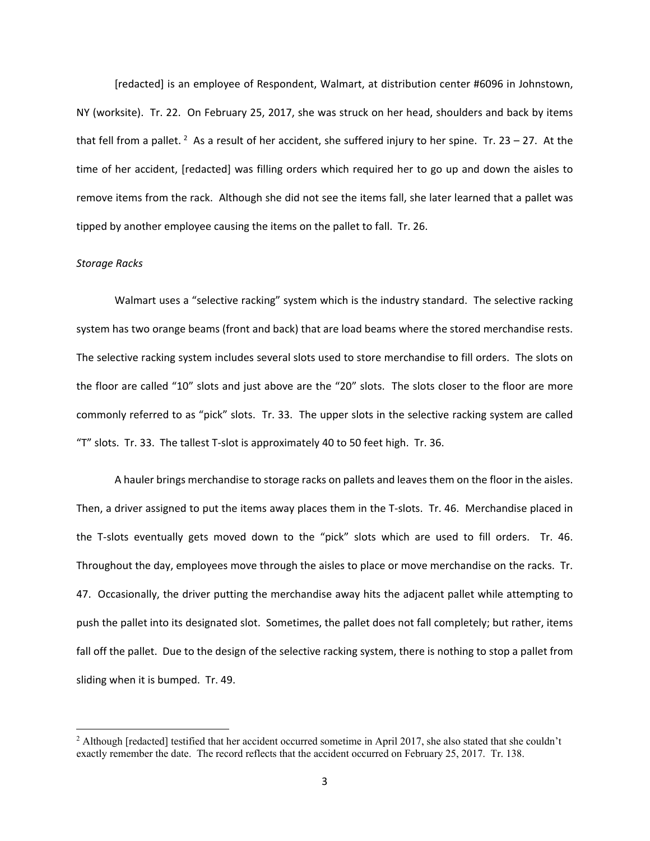[redacted] is an employee of Respondent, Walmart, at distribution center #6096 in Johnstown, NY (worksite). Tr. 22. On February 25, 2017, she was struck on her head, shoulders and back by items that fell from a pallet. <sup>[2](#page-18-0)</sup> As a result of her accident, she suffered injury to her spine. Tr. 23 – 27. At the time of her accident, [redacted] was filling orders which required her to go up and down the aisles to remove items from the rack. Although she did not see the items fall, she later learned that a pallet was tipped by another employee causing the items on the pallet to fall. Tr. 26.

### *Storage Racks*

Walmart uses a "selective racking" system which is the industry standard. The selective racking system has two orange beams (front and back) that are load beams where the stored merchandise rests. The selective racking system includes several slots used to store merchandise to fill orders. The slots on the floor are called "10" slots and just above are the "20" slots. The slots closer to the floor are more commonly referred to as "pick" slots. Tr. 33. The upper slots in the selective racking system are called "T" slots. Tr. 33. The tallest T-slot is approximately 40 to 50 feet high. Tr. 36.

A hauler brings merchandise to storage racks on pallets and leaves them on the floor in the aisles. Then, a driver assigned to put the items away places them in the T-slots. Tr. 46. Merchandise placed in the T-slots eventually gets moved down to the "pick" slots which are used to fill orders. Tr. 46. Throughout the day, employees move through the aisles to place or move merchandise on the racks. Tr. 47. Occasionally, the driver putting the merchandise away hits the adjacent pallet while attempting to push the pallet into its designated slot. Sometimes, the pallet does not fall completely; but rather, items fall off the pallet. Due to the design of the selective racking system, there is nothing to stop a pallet from sliding when it is bumped. Tr. 49.

<span id="page-18-0"></span><sup>&</sup>lt;sup>2</sup> Although [redacted] testified that her accident occurred sometime in April 2017, she also stated that she couldn't exactly remember the date. The record reflects that the accident occurred on February 25, 2017. Tr. 138.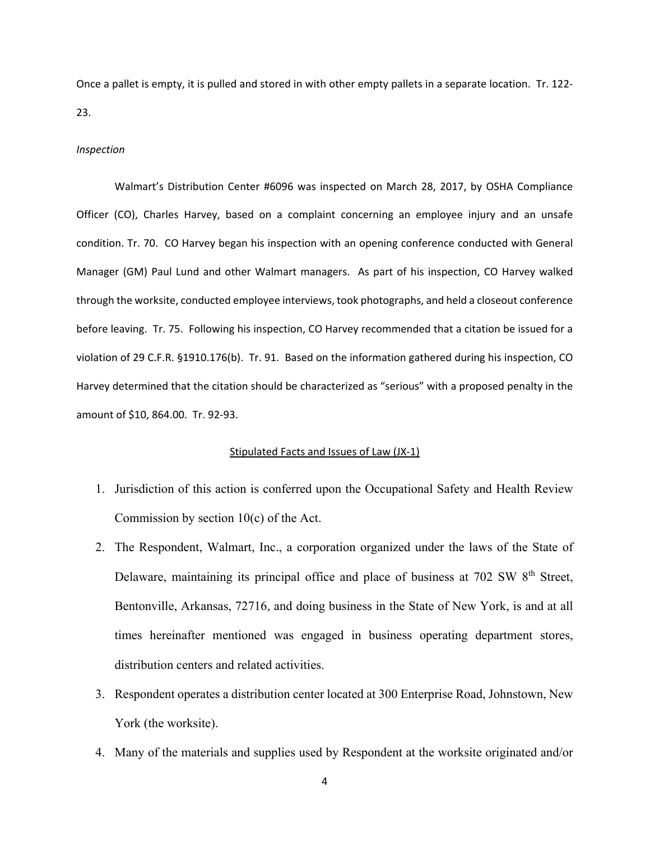Once a pallet is empty, it is pulled and stored in with other empty pallets in a separate location. Tr. 122- 23.

#### *Inspection*

Walmart's Distribution Center #6096 was inspected on March 28, 2017, by OSHA Compliance Officer (CO), Charles Harvey, based on a complaint concerning an employee injury and an unsafe condition. Tr. 70. CO Harvey began his inspection with an opening conference conducted with General Manager (GM) Paul Lund and other Walmart managers. As part of his inspection, CO Harvey walked through the worksite, conducted employee interviews, took photographs, and held a closeout conference before leaving. Tr. 75. Following his inspection, CO Harvey recommended that a citation be issued for a violation of 29 C.F.R. §1910.176(b). Tr. 91. Based on the information gathered during his inspection, CO Harvey determined that the citation should be characterized as "serious" with a proposed penalty in the amount of \$10, 864.00. Tr. 92-93.

## Stipulated Facts and Issues of Law (JX-1)

- 1. Jurisdiction of this action is conferred upon the Occupational Safety and Health Review Commission by section  $10(c)$  of the Act.
- 2. The Respondent, Walmart, Inc., a corporation organized under the laws of the State of Delaware, maintaining its principal office and place of business at  $702 \text{ SW } 8^{\text{th}}$  Street, Bentonville, Arkansas, 72716, and doing business in the State of New York, is and at all times hereinafter mentioned was engaged in business operating department stores, distribution centers and related activities.
- 3. Respondent operates a distribution center located at 300 Enterprise Road, Johnstown, New York (the worksite).
- 4. Many of the materials and supplies used by Respondent at the worksite originated and/or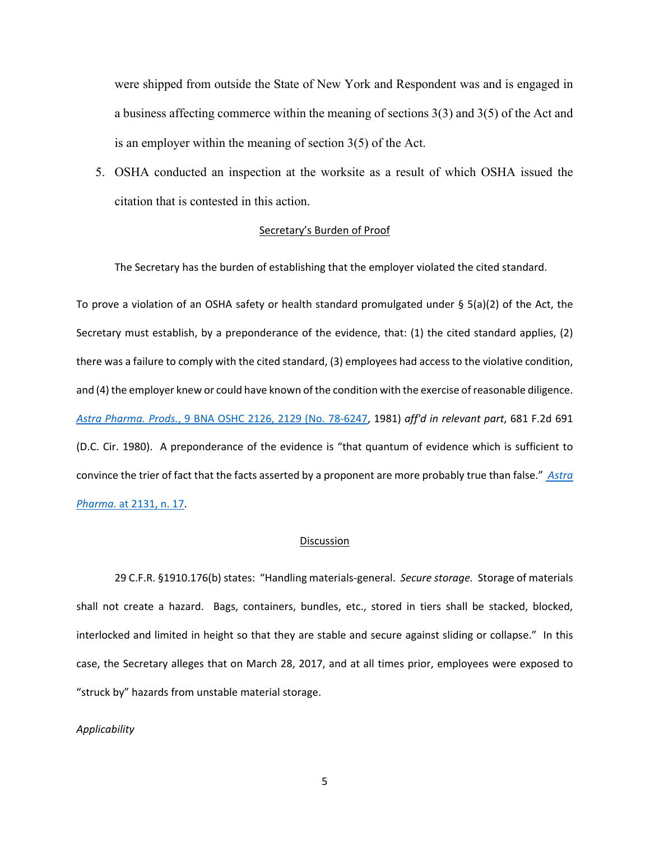were shipped from outside the State of New York and Respondent was and is engaged in a business affecting commerce within the meaning of sections 3(3) and 3(5) of the Act and is an employer within the meaning of section 3(5) of the Act.

5. OSHA conducted an inspection at the worksite as a result of which OSHA issued the citation that is contested in this action.

## Secretary's Burden of Proof

The Secretary has the burden of establishing that the employer violated the cited standard.

To prove a violation of an OSHA safety or health standard promulgated under § 5(a)(2) of the Act, the Secretary must establish, by a preponderance of the evidence, that: (1) the cited standard applies, (2) there was a failure to comply with the cited standard, (3) employees had access to the violative condition, and (4) the employer knew or could have known of the condition with the exercise of reasonable diligence. *Astra Pharma. Prods.*[, 9 BNA OSHC 2126, 2129 \(No. 78-6247,](https://1.next.westlaw.com/Link/Document/FullText?findType=Y&serNum=1981247015&pubNum=0003227&originatingDoc=I516ba57987d911e5a807ad48145ed9f1&refType=CA&fi=co_pp_sp_3227_2129&originationContext=document&transitionType=DocumentItem&contextData=(sc.Search)#co_pp_sp_3227_2129) 1981) *aff'd in relevant part*, 681 F.2d 691 (D.C. Cir. 1980). A preponderance of the evidence is "that quantum of evidence which is sufficient to convince the trier of fact that the facts asserted by a proponent are more probably true than false." *[Astra](https://1.next.westlaw.com/Link/Document/FullText?findType=Y&serNum=1981247015&pubNum=0003227&originatingDoc=I516ba57987d911e5a807ad48145ed9f1&refType=CA&fi=co_pp_sp_3227_2131&originationContext=document&transitionType=DocumentItem&contextData=(sc.Search)#co_pp_sp_3227_2131)  Pharma.* [at 2131, n. 17.](https://1.next.westlaw.com/Link/Document/FullText?findType=Y&serNum=1981247015&pubNum=0003227&originatingDoc=I516ba57987d911e5a807ad48145ed9f1&refType=CA&fi=co_pp_sp_3227_2131&originationContext=document&transitionType=DocumentItem&contextData=(sc.Search)#co_pp_sp_3227_2131)

#### **Discussion**

29 C.F.R. §1910.176(b) states: "Handling materials-general. *Secure storage.* Storage of materials shall not create a hazard. Bags, containers, bundles, etc., stored in tiers shall be stacked, blocked, interlocked and limited in height so that they are stable and secure against sliding or collapse." In this case, the Secretary alleges that on March 28, 2017, and at all times prior, employees were exposed to "struck by" hazards from unstable material storage.

## *Applicability*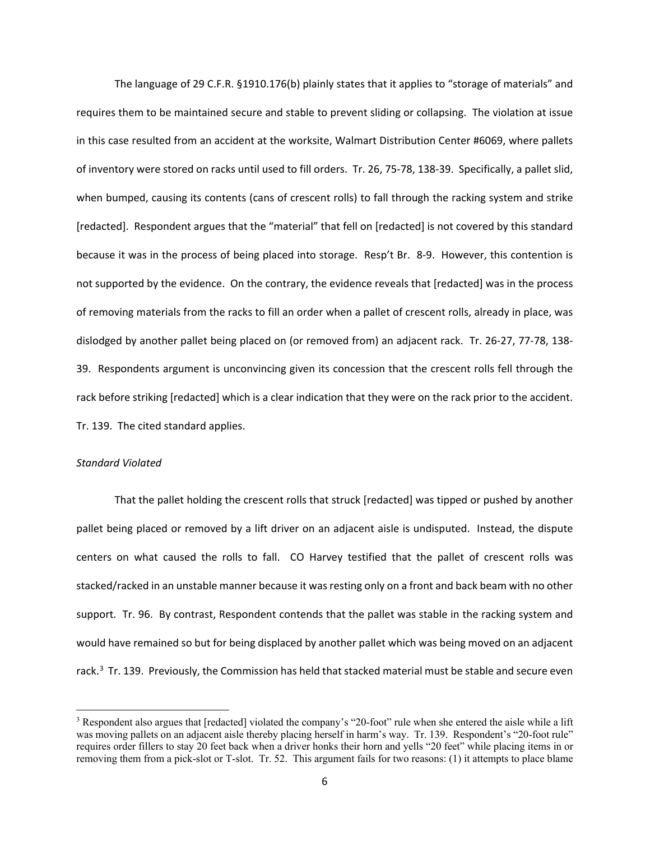The language of 29 C.F.R. §1910.176(b) plainly states that it applies to "storage of materials" and requires them to be maintained secure and stable to prevent sliding or collapsing. The violation at issue in this case resulted from an accident at the worksite, Walmart Distribution Center #6069, where pallets of inventory were stored on racks until used to fill orders. Tr. 26, 75-78, 138-39. Specifically, a pallet slid, when bumped, causing its contents (cans of crescent rolls) to fall through the racking system and strike [redacted]. Respondent argues that the "material" that fell on [redacted] is not covered by this standard because it was in the process of being placed into storage. Resp't Br. 8-9. However, this contention is not supported by the evidence. On the contrary, the evidence reveals that [redacted] was in the process of removing materials from the racks to fill an order when a pallet of crescent rolls, already in place, was dislodged by another pallet being placed on (or removed from) an adjacent rack. Tr. 26-27, 77-78, 138- 39. Respondents argument is unconvincing given its concession that the crescent rolls fell through the rack before striking [redacted] which is a clear indication that they were on the rack prior to the accident. Tr. 139. The cited standard applies.

### *Standard Violated*

That the pallet holding the crescent rolls that struck [redacted] was tipped or pushed by another pallet being placed or removed by a lift driver on an adjacent aisle is undisputed. Instead, the dispute centers on what caused the rolls to fall. CO Harvey testified that the pallet of crescent rolls was stacked/racked in an unstable manner because it was resting only on a front and back beam with no other support. Tr. 96. By contrast, Respondent contends that the pallet was stable in the racking system and would have remained so but for being displaced by another pallet which was being moved on an adjacent rack.<sup>[3](#page-21-0)</sup> Tr. 139. Previously, the Commission has held that stacked material must be stable and secure even

<span id="page-21-0"></span><sup>3</sup> Respondent also argues that [redacted] violated the company's "20-foot" rule when she entered the aisle while a lift was moving pallets on an adjacent aisle thereby placing herself in harm's way. Tr. 139. Respondent's "20-foot rule" requires order fillers to stay 20 feet back when a driver honks their horn and yells "20 feet" while placing items in or removing them from a pick-slot or T-slot. Tr. 52. This argument fails for two reasons: (1) it attempts to place blame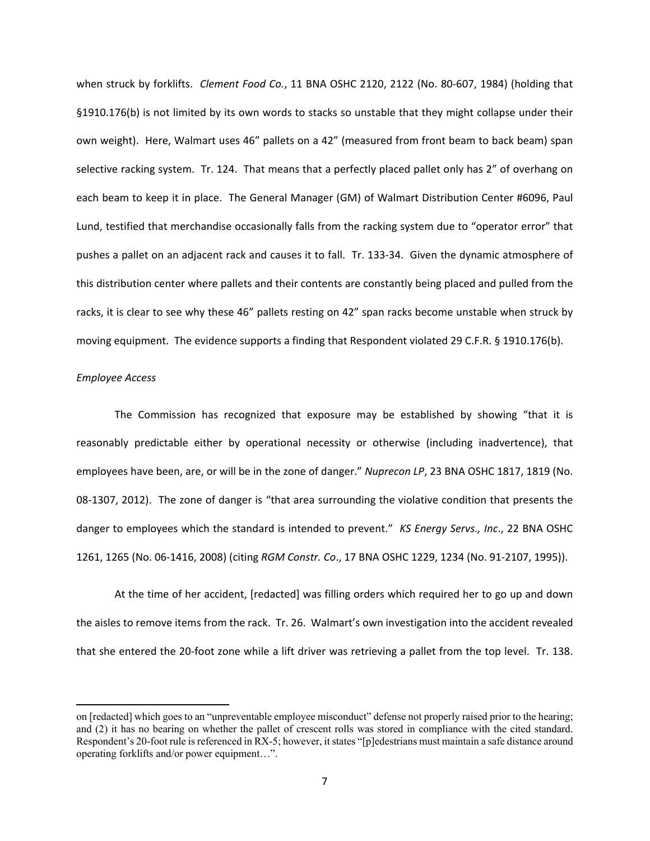when struck by forklifts. *Clement Food Co.*, 11 BNA OSHC 2120, 2122 (No. 80-607, 1984) (holding that §1910.176(b) is not limited by its own words to stacks so unstable that they might collapse under their own weight). Here, Walmart uses 46" pallets on a 42" (measured from front beam to back beam) span selective racking system. Tr. 124. That means that a perfectly placed pallet only has 2" of overhang on each beam to keep it in place. The General Manager (GM) of Walmart Distribution Center #6096, Paul Lund, testified that merchandise occasionally falls from the racking system due to "operator error" that pushes a pallet on an adjacent rack and causes it to fall. Tr. 133-34. Given the dynamic atmosphere of this distribution center where pallets and their contents are constantly being placed and pulled from the racks, it is clear to see why these 46" pallets resting on 42" span racks become unstable when struck by moving equipment. The evidence supports a finding that Respondent violated 29 C.F.R. § 1910.176(b).

#### *Employee Access*

The Commission has recognized that exposure may be established by showing "that it is reasonably predictable either by operational necessity or otherwise (including inadvertence), that employees have been, are, or will be in the zone of danger." *Nuprecon LP*, 23 BNA OSHC 1817, 1819 (No. 08-1307, 2012). The zone of danger is "that area surrounding the violative condition that presents the danger to employees which the standard is intended to prevent." *KS Energy Servs., Inc*., 22 BNA OSHC 1261, 1265 (No. 06-1416, 2008) (citing *RGM Constr. Co*., 17 BNA OSHC 1229, 1234 (No. 91-2107, 1995)).

At the time of her accident, [redacted] was filling orders which required her to go up and down the aisles to remove items from the rack. Tr. 26. Walmart's own investigation into the accident revealed that she entered the 20-foot zone while a lift driver was retrieving a pallet from the top level. Tr. 138.

on [redacted] which goes to an "unpreventable employee misconduct" defense not properly raised prior to the hearing; and (2) it has no bearing on whether the pallet of crescent rolls was stored in compliance with the cited standard. Respondent's 20-foot rule is referenced in RX-5; however, it states "[p]edestrians must maintain a safe distance around operating forklifts and/or power equipment…".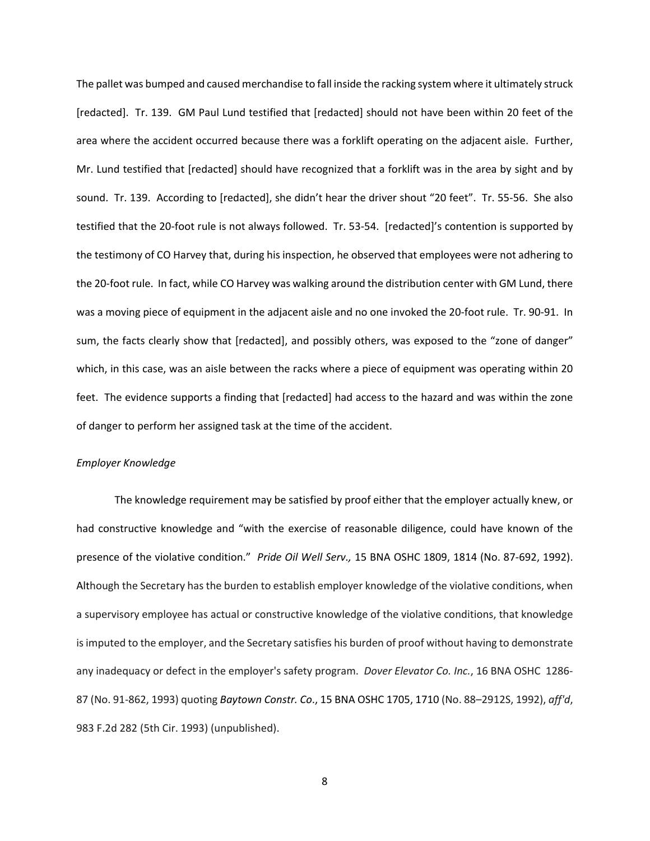The pallet was bumped and caused merchandise to fall inside the racking system where it ultimately struck [redacted]. Tr. 139. GM Paul Lund testified that [redacted] should not have been within 20 feet of the area where the accident occurred because there was a forklift operating on the adjacent aisle. Further, Mr. Lund testified that [redacted] should have recognized that a forklift was in the area by sight and by sound. Tr. 139. According to [redacted], she didn't hear the driver shout "20 feet". Tr. 55-56. She also testified that the 20-foot rule is not always followed. Tr. 53-54. [redacted]'s contention is supported by the testimony of CO Harvey that, during his inspection, he observed that employees were not adhering to the 20-foot rule. In fact, while CO Harvey was walking around the distribution center with GM Lund, there was a moving piece of equipment in the adjacent aisle and no one invoked the 20-foot rule. Tr. 90-91. In sum, the facts clearly show that [redacted], and possibly others, was exposed to the "zone of danger" which, in this case, was an aisle between the racks where a piece of equipment was operating within 20 feet. The evidence supports a finding that [redacted] had access to the hazard and was within the zone of danger to perform her assigned task at the time of the accident.

## *Employer Knowledge*

The knowledge requirement may be satisfied by proof either that the employer actually knew, or had constructive knowledge and "with the exercise of reasonable diligence, could have known of the presence of the violative condition." *Pride Oil Well Serv.,* 15 BNA OSHC [1809, 1814 \(No. 87-692, 1992\).](https://1.next.westlaw.com/Link/Document/FullText?findType=Y&serNum=1992453695&pubNum=0003227&originatingDoc=I6cb985e3931e11d9bdd1cfdd544ca3a4&refType=CA&fi=co_pp_sp_3227_1814&originationContext=document&transitionType=DocumentItem&contextData=(sc.DocLink)#co_pp_sp_3227_1814) Although the Secretary has the burden to establish employer knowledge of the violative conditions, when a supervisory employee has actual or constructive knowledge of the violative conditions, that knowledge is imputed to the employer, and the Secretary satisfies his burden of proof without having to demonstrate any inadequacy or defect in the employer's safety program. *Dover Elevator Co. Inc.*, 16 BNA OSHC 1286- 87 (No. 91-862, 1993) quoting *Baytown Constr. Co*[., 15 BNA OSHC 1705, 1710](https://1.next.westlaw.com/Link/Document/FullText?findType=Y&serNum=1992453650&pubNum=0003227&originatingDoc=I563bd60cfa2b11d983e7e9deff98dc6f&refType=CA&fi=co_pp_sp_3227_1710&originationContext=document&transitionType=DocumentItem&contextData=(sc.UserEnteredCitation)#co_pp_sp_3227_1710) (No. 88–2912S, 1992), *aff'd*, 983 F.2d 282 (5th Cir. 1993) (unpublished).

8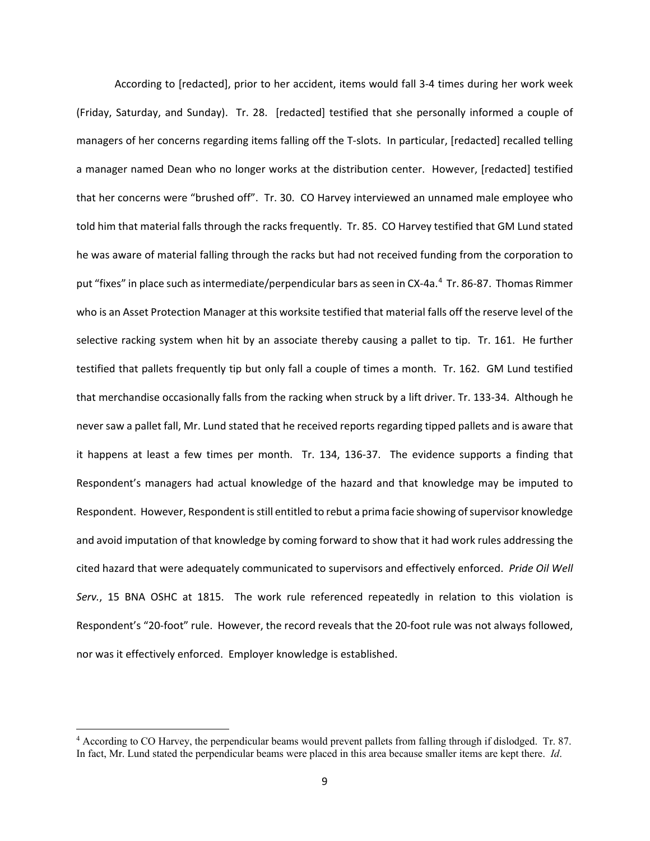According to [redacted], prior to her accident, items would fall 3-4 times during her work week (Friday, Saturday, and Sunday). Tr. 28. [redacted] testified that she personally informed a couple of managers of her concerns regarding items falling off the T-slots. In particular, [redacted] recalled telling a manager named Dean who no longer works at the distribution center. However, [redacted] testified that her concerns were "brushed off". Tr. 30. CO Harvey interviewed an unnamed male employee who told him that material falls through the racks frequently. Tr. 85. CO Harvey testified that GM Lund stated he was aware of material falling through the racks but had not received funding from the corporation to put "fixes" in place such as intermediate/perpendicular bars as seen in CX-[4](#page-24-0)a.<sup>4</sup> Tr. 86-87. Thomas Rimmer who is an Asset Protection Manager at this worksite testified that material falls off the reserve level of the selective racking system when hit by an associate thereby causing a pallet to tip. Tr. 161. He further testified that pallets frequently tip but only fall a couple of times a month. Tr. 162. GM Lund testified that merchandise occasionally falls from the racking when struck by a lift driver. Tr. 133-34. Although he never saw a pallet fall, Mr. Lund stated that he received reports regarding tipped pallets and is aware that it happens at least a few times per month. Tr. 134, 136-37. The evidence supports a finding that Respondent's managers had actual knowledge of the hazard and that knowledge may be imputed to Respondent. However, Respondent is still entitled to rebut a prima facie showing of supervisor knowledge and avoid imputation of that knowledge by coming forward to show that it had work rules addressing the cited hazard that were adequately communicated to supervisors and effectively enforced. *Pride Oil Well Serv.*, 15 BNA OSHC at 1815. The work rule referenced repeatedly in relation to this violation is Respondent's "20-foot" rule. However, the record reveals that the 20-foot rule was not always followed, nor was it effectively enforced. Employer knowledge is established.

<span id="page-24-0"></span><sup>4</sup> According to CO Harvey, the perpendicular beams would prevent pallets from falling through if dislodged. Tr. 87. In fact, Mr. Lund stated the perpendicular beams were placed in this area because smaller items are kept there. *Id*.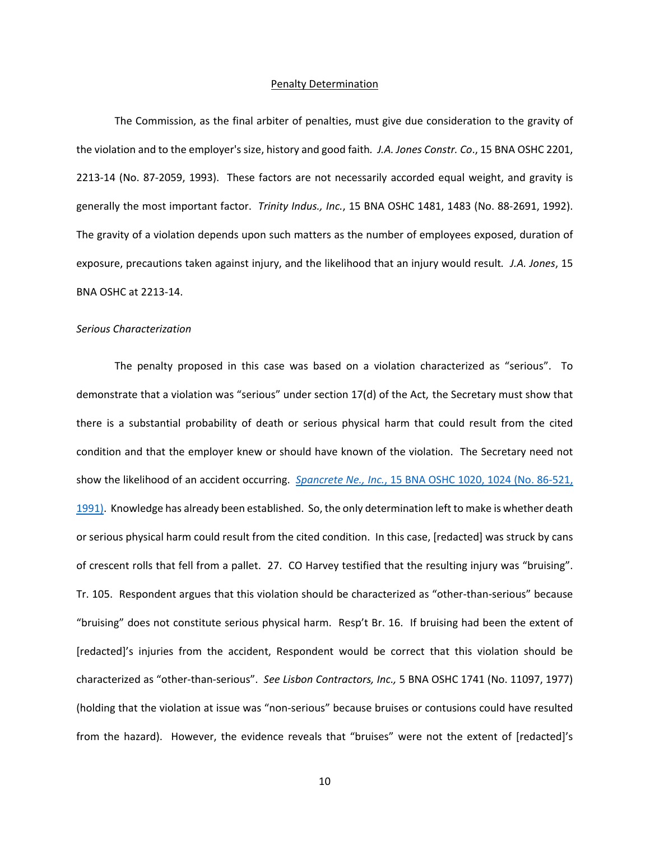#### Penalty Determination

The Commission, as the final arbiter of penalties, must give due consideration to the gravity of the violation and to the employer's size, history and good faith*. J.A. Jones Constr. Co*., 15 BNA OSHC 2201, 2213-14 (No. 87-2059, 1993). These factors are not necessarily accorded equal weight, and gravity is generally the most important factor. *Trinity Indus., Inc.*, 15 BNA OSHC 1481, 1483 (No. 88-2691, 1992). The gravity of a violation depends upon such matters as the number of employees exposed, duration of exposure, precautions taken against injury, and the likelihood that an injury would result*. J.A. Jones*, 15 BNA OSHC at 2213-14.

#### *Serious Characterization*

The penalty proposed in this case was based on a violation characterized as "serious". To demonstrate that a violation was "serious" under section 17(d) of the Act, the Secretary must show that there is a substantial probability of death or serious physical harm that could result from the cited condition and that the employer knew or should have known of the violation. The Secretary need not show the likelihood of an accident occurring. *Spancrete Ne., Inc.*[, 15 BNA OSHC 1020, 1024 \(No. 86-521,](http://web2.westlaw.com/find/default.wl?mt=Westlaw&db=0003227&tc=-1&rp=%2ffind%2fdefault.wl&findtype=Y&ordoc=2026579713&serialnum=1991434457&vr=2.0&fn=_top&sv=Split&tf=-1&referencepositiontype=S&pbc=99658F2F&referenceposition=1024&rs=WLW12.04)  [1991\).](http://web2.westlaw.com/find/default.wl?mt=Westlaw&db=0003227&tc=-1&rp=%2ffind%2fdefault.wl&findtype=Y&ordoc=2026579713&serialnum=1991434457&vr=2.0&fn=_top&sv=Split&tf=-1&referencepositiontype=S&pbc=99658F2F&referenceposition=1024&rs=WLW12.04) Knowledge has already been established. So, the only determination left to make is whether death or serious physical harm could result from the cited condition. In this case, [redacted] was struck by cans of crescent rolls that fell from a pallet. 27. CO Harvey testified that the resulting injury was "bruising". Tr. 105. Respondent argues that this violation should be characterized as "other-than-serious" because "bruising" does not constitute serious physical harm. Resp't Br. 16. If bruising had been the extent of [redacted]'s injuries from the accident, Respondent would be correct that this violation should be characterized as "other-than-serious". *See Lisbon Contractors, Inc.,* 5 BNA OSHC 1741 (No. 11097, 1977) (holding that the violation at issue was "non-serious" because bruises or contusions could have resulted from the hazard). However, the evidence reveals that "bruises" were not the extent of [redacted]'s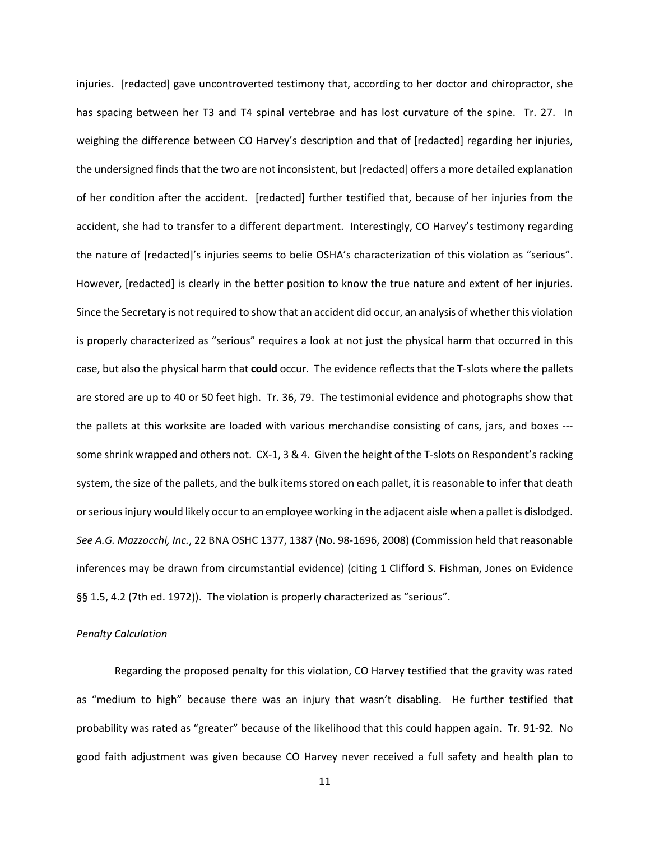injuries. [redacted] gave uncontroverted testimony that, according to her doctor and chiropractor, she has spacing between her T3 and T4 spinal vertebrae and has lost curvature of the spine. Tr. 27. In weighing the difference between CO Harvey's description and that of [redacted] regarding her injuries, the undersigned finds that the two are not inconsistent, but [redacted] offers a more detailed explanation of her condition after the accident. [redacted] further testified that, because of her injuries from the accident, she had to transfer to a different department. Interestingly, CO Harvey's testimony regarding the nature of [redacted]'s injuries seems to belie OSHA's characterization of this violation as "serious". However, [redacted] is clearly in the better position to know the true nature and extent of her injuries. Since the Secretary is not required to show that an accident did occur, an analysis of whether this violation is properly characterized as "serious" requires a look at not just the physical harm that occurred in this case, but also the physical harm that **could** occur. The evidence reflects that the T-slots where the pallets are stored are up to 40 or 50 feet high. Tr. 36, 79. The testimonial evidence and photographs show that the pallets at this worksite are loaded with various merchandise consisting of cans, jars, and boxes -- some shrink wrapped and others not. CX-1, 3 & 4. Given the height of the T-slots on Respondent's racking system, the size of the pallets, and the bulk items stored on each pallet, it is reasonable to infer that death or serious injury would likely occur to an employee working in the adjacent aisle when a pallet is dislodged. *See A.G. Mazzocchi, Inc.*, 22 BNA OSHC 1377, 1387 (No. 98-1696, 2008) (Commission held that reasonable inferences may be drawn from circumstantial evidence) (citing 1 Clifford S. Fishman, Jones on Evidence §§ 1.5, 4.2 (7th ed. 1972)). The violation is properly characterized as "serious".

### *Penalty Calculation*

Regarding the proposed penalty for this violation, CO Harvey testified that the gravity was rated as "medium to high" because there was an injury that wasn't disabling. He further testified that probability was rated as "greater" because of the likelihood that this could happen again. Tr. 91-92. No good faith adjustment was given because CO Harvey never received a full safety and health plan to